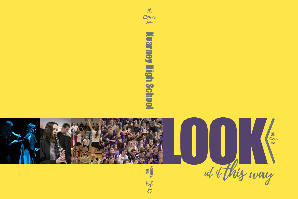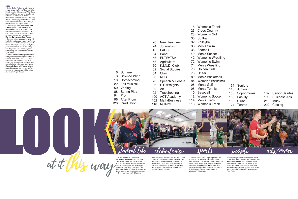- 8 Science Wing 10 Homecoming
- 22 Fall Musical
- 50 Vaping
- 88 Spring Play
- 94 Prom
- 96 After Prom
- 120 Graduation
- LOOK N Ext the 7th Annual Turkey Trot,<br>
senior Niki Breyfogle runs on a<br>
Thanksgiving morning. "The Tur<br>
is a family tradition. We've done<br>
year since its started and we've to<br>
year since its started and we've to<br>
skipped a year,



6 Summer

senior **Niki Breyfogle** runs on a brisk Thanksgiving morning. "[The Turkey Trot is] a family tradition. We've done it every year since its started and we've never skipped a year," Breyfogle said. "[The best part is] when it's done. Everyone we know is there, and we all get to catch up with one another." Holly Dillenbeck

- 20 New Teachers 24 Journalism 46 FACS 54 Band 56 PLTW/TSA 58 Agriculture 60 K.I.N.D. Club 62 Social Studies 64 Choir 68 NHS 70 Speech & Debate 86 P.E./Weights 90 Art 92 Trapshooting 26 Cross Country 30 Softball 32 Volleyball 36 Men's Swim 38 Football 40 Men's Soccer 76 Golden Girls 78 Cheer
- 100 ACT Academy
- 102 Math/Business
- 118 NCAPS
- 106 Men's Golf 108 Men's Tennis 110 Baseball 112 Women's Soccer
- - 114 Men's Track 116 Women's Track
		-
- 18 Women's Tennis
	-
- 28 Women's Golf
	-
	-
	-
	-
	-
- 42 Women's Wrestling
- 72 Women's Swim
- 74 Men's Wrestling
	-
- 82 Men's Basketball
- 84 Women's Basketball
	- 124 Seniors 140 Juniors 150 Sophomores
		- 159 Faculty
			- 162 Clubs
			- 174 Teams
- 182 Senior Salutes
- 199 Business Ads
- 213 Index
- 222 Closing

**<** Junior Caroline Kelly jumps to pass the ball and avoid the Smithville players during the Dec. 12 game. "The people on the team are so much fun to be with, and it makes basketball more fun," junior **Maddie Taylor** said. "The most exciting thing that happened this season is the Kearney Classic tournament and winning it." Tyler Pedee

## **<** Senior **Claire Prather** gets tethered to a rope, preparing for the "Beauty and the Beast" opening flying scene. "When I was learning, [it] was just fun, a weird feeling, but it kind of felt like rock climbing," Prather said. "When I was doing it during shows, I was slightly terrified that it would break. Overall, I'm super glad I did it, but [it was] scary, too." Lydia Miller

**<** Singing during the Open House Dec. 17, the Chamber Choir shows off their new room and performs for those interested in seeing the new spaces. "Music brings people together like nothing in this whole world," junior **Tess Martens** said, "and it's fun to sing with my friends." Sydney Libowitz

**<** Participating in a free throw contest to win money for a club of their choice, seniors **Cade Hampton** and **Riley Foltz** celebrate with a high five after shooting a free throw. "It was pretty high energy because everyone knew I was terrible at basketball, so they were hyped when I made [a free throw]," Hampton said. Tyler Pedee

**<** Celebrating a point, sophomore **Andi Kreiling**, junior **Quinn Weakley** and senior **Lexie Buls** jump for joy. "[The girls are] some of the best friends I've ever had and some of the best athletes I've gotten to play with," sophomore **Mayson Behney** said. Tyler Pedee **<** Cheering at the homecoming assembly, the junior section gets pumped up for the festivities and the football game against Belton. "Usually the energy is pretty high," junior **Madi Carnie** said. "I like sitting with the juniors whenever everyone is participating and showing school spirit. Tyler Pedee

**<** Junior **Kate Mckown** plays her clarinet during the first pep band performance in the new field house Dec. 17. "Concert band gives you the opportunity to be more musical rather than marching band, where its just a volume contest," senior **Mackenzie Dunn** said. "Music is like a second language, and you can be from any part of the world and still be able to play as one." Tyler Pedee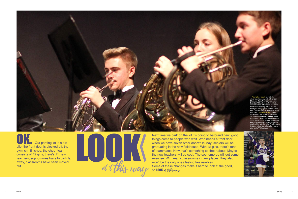

OK. Our parking lot is a dirt pile, the front door is blocked off, the gym isn't finished, the cheer team consists of 42 girls, there's 11 new teachers, sophomores have to park far away, classrooms have been moved, but

LOOK N at it this way

Next time we park on the lot it's going to be brand new, good things come to people who wait. Who needs a front door when we have seven other doors? In May, seniors will be graduating in the new fieldhouse. With 42 girls, there's tons of teammates. Now that's something to cheer about. Maybe the new teachers will be cool. The sophomores will get some exercise. With many classrooms in new places, they also won't be the only ones feeling like newbies. Some of these changes make it hard to look at the good, so  $\sf{LOOK}$  at it this way.